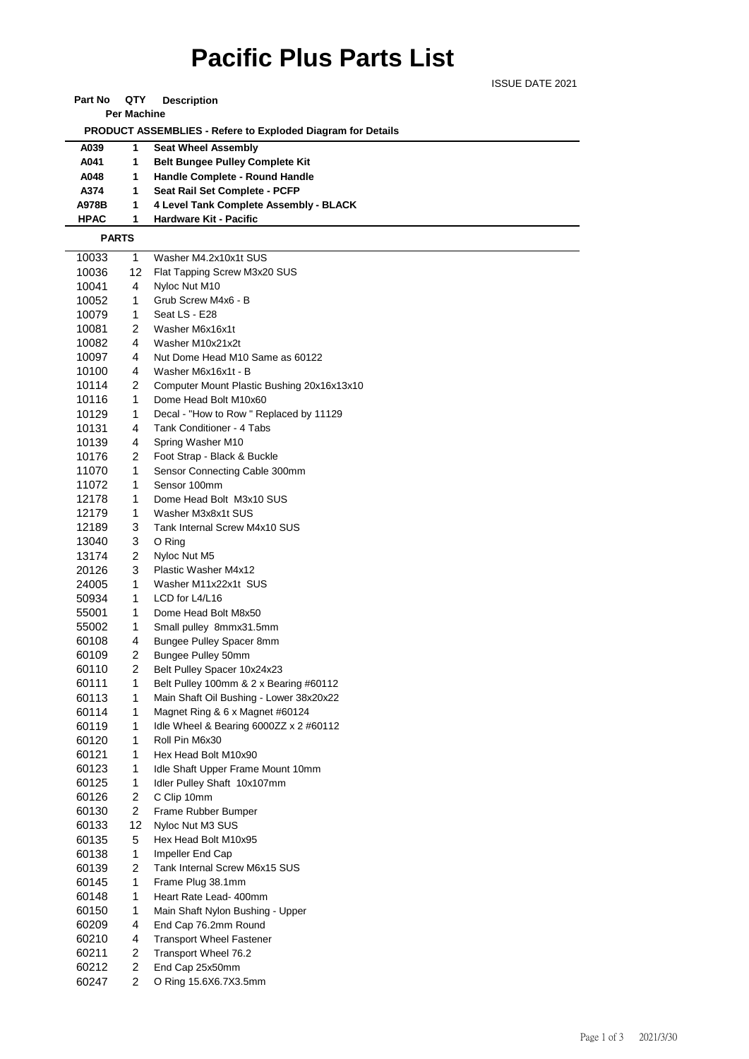# **Pacific Plus Parts List**

ISSUE DATE 2021

#### **Part No QTY Description**

**Per Machine**

 **PRODUCT ASSEMBLIES - Refere to Exploded Diagram for Details** 

### **A039 1 Seat Wheel Assembly**

| A041  | <b>Belt Bungee Pulley Complete Kit</b> |
|-------|----------------------------------------|
| A048  | Handle Complete - Round Handle         |
| A374  | Seat Rail Set Complete - PCFP          |
| A978B | 4 Level Tank Complete Assembly - BLACK |

**HPAC 1 Hardware Kit - Pacific**

#### **PARTS**

| 10033 | 1                       | Washer M4.2x10x1t SUS                         |
|-------|-------------------------|-----------------------------------------------|
| 10036 | 12                      | Flat Tapping Screw M3x20 SUS                  |
| 10041 | 4                       | Nyloc Nut M10                                 |
| 10052 | 1                       | Grub Screw M4x6 - B                           |
| 10079 | 1                       | Seat LS - E28                                 |
| 10081 | 2                       | Washer M6x16x1t                               |
| 10082 | 4                       | Washer M10x21x2t                              |
| 10097 | 4                       | Nut Dome Head M10 Same as 60122               |
| 10100 | 4                       | Washer M6x16x1t - B                           |
| 10114 | 2                       | Computer Mount Plastic Bushing 20x16x13x10    |
| 10116 | 1                       | Dome Head Bolt M10x60                         |
| 10129 | 1                       | Decal - "How to Row" Replaced by 11129        |
| 10131 | 4                       | Tank Conditioner - 4 Tabs                     |
| 10139 | 4                       | Spring Washer M10                             |
| 10176 | 2                       | Foot Strap - Black & Buckle                   |
| 11070 | 1                       | Sensor Connecting Cable 300mm                 |
| 11072 | 1                       | Sensor 100mm                                  |
| 12178 | 1                       | Dome Head Bolt M3x10 SUS                      |
| 12179 | 1                       | Washer M3x8x1t SUS                            |
| 12189 | 3                       | Tank Internal Screw M4x10 SUS                 |
| 13040 | 3                       | O Ring                                        |
| 13174 | 2                       | Nyloc Nut M5                                  |
| 20126 | 3                       | Plastic Washer M4x12                          |
| 24005 | 1                       | Washer M11x22x1t SUS                          |
| 50934 | 1                       | LCD for L4/L16                                |
| 55001 | 1                       | Dome Head Bolt M8x50                          |
| 55002 | 1                       | Small pulley 8mmx31.5mm                       |
| 60108 | 4                       | Bungee Pulley Spacer 8mm                      |
| 60109 | 2                       | Bungee Pulley 50mm                            |
| 60110 | 2                       | Belt Pulley Spacer 10x24x23                   |
| 60111 | 1                       | Belt Pulley 100mm & 2 x Bearing #60112        |
| 60113 | 1                       | Main Shaft Oil Bushing - Lower 38x20x22       |
| 60114 | 1                       | Magnet Ring & 6 x Magnet #60124               |
| 60119 | 1                       | Idle Wheel & Bearing 6000ZZ $\times$ 2 #60112 |
| 60120 | 1                       | Roll Pin M6x30                                |
| 60121 | 1                       | Hex Head Bolt M10x90                          |
| 60123 | 1                       | Idle Shaft Upper Frame Mount 10mm             |
| 60125 | 1                       | Idler Pulley Shaft 10x107mm                   |
| 60126 | 2                       | C Clip 10mm                                   |
| 60130 | $\overline{2}$          | Frame Rubber Bumper                           |
| 60133 | 12                      | Nyloc Nut M3 SUS                              |
| 60135 | 5                       | Hex Head Bolt M10x95                          |
| 60138 | 1                       | Impeller End Cap                              |
| 60139 | 2                       | Tank Internal Screw M6x15 SUS                 |
| 60145 | 1                       | Frame Plug 38.1mm                             |
| 60148 | 1                       | Heart Rate Lead- 400mm                        |
| 60150 | 1                       | Main Shaft Nylon Bushing - Upper              |
| 60209 | 4                       | End Cap 76.2mm Round                          |
| 60210 | 4                       | <b>Transport Wheel Fastener</b>               |
| 60211 | $\overline{\mathbf{c}}$ | Transport Wheel 76.2                          |
| 60212 | 2                       | End Cap 25x50mm                               |
| 60247 | 2                       | O Ring 15.6X6.7X3.5mm                         |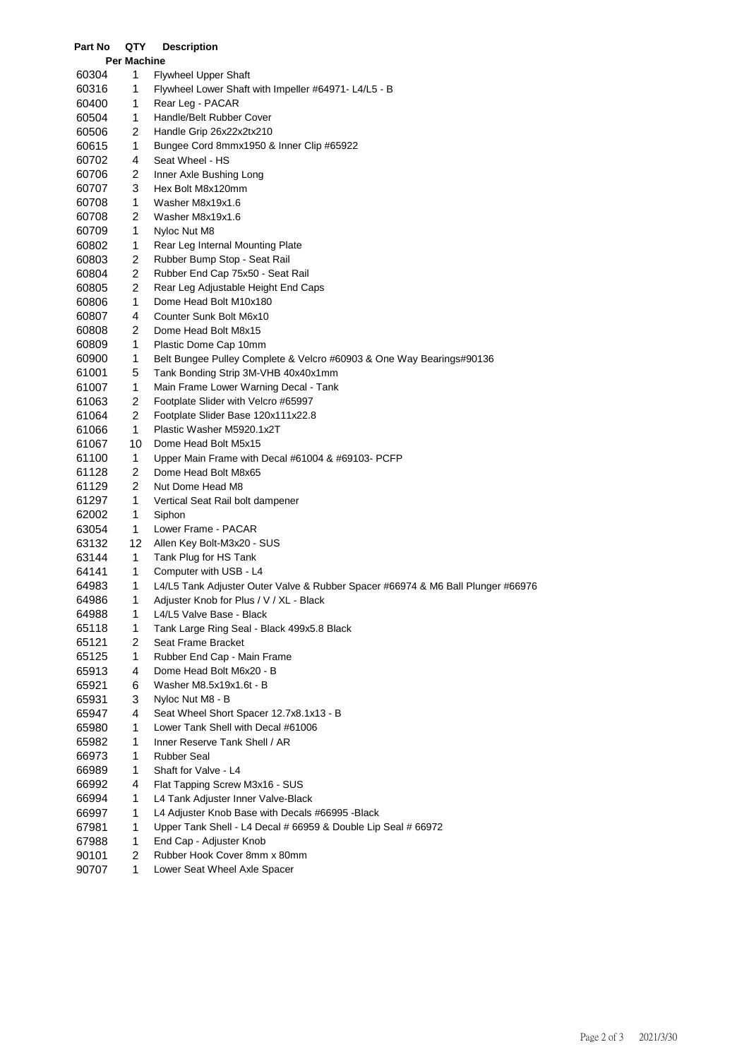| Part No | QTY                | <b>Description</b>                                                              |
|---------|--------------------|---------------------------------------------------------------------------------|
|         | <b>Per Machine</b> |                                                                                 |
| 60304   | 1                  | <b>Flywheel Upper Shaft</b>                                                     |
| 60316   | 1                  | Flywheel Lower Shaft with Impeller #64971- L4/L5 - B                            |
| 60400   | 1                  | Rear Leg - PACAR                                                                |
| 60504   | 1                  | Handle/Belt Rubber Cover                                                        |
| 60506   | 2                  | Handle Grip 26x22x2tx210                                                        |
| 60615   | 1                  | Bungee Cord 8mmx1950 & Inner Clip #65922                                        |
| 60702   | 4                  | Seat Wheel - HS                                                                 |
| 60706   | 2                  | Inner Axle Bushing Long                                                         |
| 60707   | 3                  | Hex Bolt M8x120mm                                                               |
| 60708   | 1                  | Washer M8x19x1.6                                                                |
| 60708   | 2                  | Washer M8x19x1.6                                                                |
| 60709   | 1                  | Nyloc Nut M8                                                                    |
| 60802   | 1                  | Rear Leg Internal Mounting Plate                                                |
| 60803   | 2                  | Rubber Bump Stop - Seat Rail                                                    |
| 60804   | 2                  | Rubber End Cap 75x50 - Seat Rail                                                |
| 60805   | 2                  | Rear Leg Adjustable Height End Caps                                             |
| 60806   | 1                  | Dome Head Bolt M10x180                                                          |
| 60807   | 4                  | Counter Sunk Bolt M6x10                                                         |
| 60808   | 2                  | Dome Head Bolt M8x15                                                            |
| 60809   | 1                  | Plastic Dome Cap 10mm                                                           |
| 60900   | 1                  | Belt Bungee Pulley Complete & Velcro #60903 & One Way Bearings#90136            |
| 61001   | 5                  | Tank Bonding Strip 3M-VHB 40x40x1mm                                             |
| 61007   | 1                  | Main Frame Lower Warning Decal - Tank                                           |
| 61063   | 2                  | Footplate Slider with Velcro #65997                                             |
| 61064   | 2                  | Footplate Slider Base 120x111x22.8                                              |
| 61066   | 1                  | Plastic Washer M5920.1x2T                                                       |
| 61067   | 10                 | Dome Head Bolt M5x15                                                            |
| 61100   | 1                  | Upper Main Frame with Decal #61004 & #69103- PCFP                               |
| 61128   | 2                  | Dome Head Bolt M8x65                                                            |
| 61129   | 2                  | Nut Dome Head M8                                                                |
| 61297   | 1                  | Vertical Seat Rail bolt dampener                                                |
| 62002   | 1                  | Siphon                                                                          |
| 63054   | 1                  | Lower Frame - PACAR                                                             |
| 63132   | 12                 | Allen Key Bolt-M3x20 - SUS                                                      |
| 63144   | 1                  | Tank Plug for HS Tank                                                           |
| 64141   | 1                  | Computer with USB - L4                                                          |
| 64983   | 1                  | L4/L5 Tank Adjuster Outer Valve & Rubber Spacer #66974 & M6 Ball Plunger #66976 |
| 64986   | 1                  | Adjuster Knob for Plus / V / XL - Black                                         |
| 64988   | 1                  | L4/L5 Valve Base - Black                                                        |
| 65118   | 1                  | Tank Large Ring Seal - Black 499x5.8 Black                                      |
| 65121   | 2                  | Seat Frame Bracket                                                              |
| 65125   | 1                  | Rubber End Cap - Main Frame                                                     |
| 65913   | 4                  | Dome Head Bolt M6x20 - B                                                        |
| 65921   | 6                  | Washer M8.5x19x1.6t - B                                                         |
| 65931   | 3                  | Nyloc Nut M8 - B                                                                |
| 65947   | 4                  | Seat Wheel Short Spacer 12.7x8.1x13 - B                                         |
| 65980   | 1                  | Lower Tank Shell with Decal #61006                                              |
| 65982   | 1                  | Inner Reserve Tank Shell / AR                                                   |
| 66973   | 1                  | <b>Rubber Seal</b>                                                              |
| 66989   | 1                  | Shaft for Valve - L4                                                            |
| 66992   | 4                  | Flat Tapping Screw M3x16 - SUS                                                  |
| 66994   | 1                  | L4 Tank Adjuster Inner Valve-Black                                              |
| 66997   | 1                  | L4 Adjuster Knob Base with Decals #66995 - Black                                |
| 67981   | 1                  | Upper Tank Shell - L4 Decal # 66959 & Double Lip Seal # 66972                   |
| 67988   | 1                  | End Cap - Adjuster Knob                                                         |
| 90101   | 2                  | Rubber Hook Cover 8mm x 80mm                                                    |
| 90707   | 1                  | Lower Seat Wheel Axle Spacer                                                    |
|         |                    |                                                                                 |